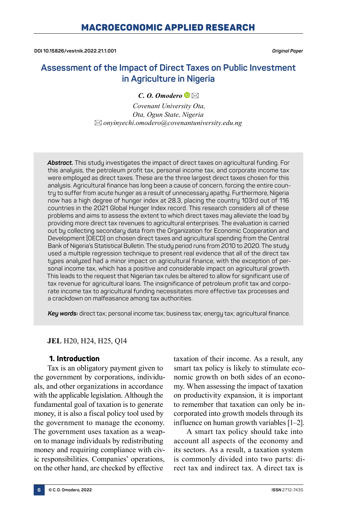**DOI 10.15826/vestnik.2022.21.1.001** *Original Paper*

# **Assessment of the Impact of Direct Taxes on Public Investment in Agriculture in Nigeria**

# *C. O. Omodero*

*Covenant University Ota, Ota, Ogun State, Nigeria onyinyechi.omodero@covenantuniversity.edu.ng*

*Abstract.* This study investigates the impact of direct taxes on agricultural funding. For this analysis, the petroleum profit tax, personal income tax, and corporate income tax were employed as direct taxes. These are the three largest direct taxes chosen for this analysis. Agricultural finance has long been a cause of concern, forcing the entire country to suffer from acute hunger as a result of unnecessary apathy. Furthermore, Nigeria now has a high degree of hunger index at 28.3, placing the country 103rd out of 116 countries in the 2021 Global Hunger Index record. This research considers all of these problems and aims to assess the extent to which direct taxes may alleviate the load by providing more direct tax revenues to agricultural enterprises. The evaluation is carried out by collecting secondary data from the Organization for Economic Cooperation and Development (OECD) on chosen direct taxes and agricultural spending from the Central Bank of Nigeria's Statistical Bulletin. The study period runs from 2010 to 2020. The study used a multiple regression technique to present real evidence that all of the direct tax types analyzed had a minor impact on agricultural finance, with the exception of personal income tax, which has a positive and considerable impact on agricultural growth. This leads to the request that Nigerian tax rules be altered to allow for significant use of tax revenue for agricultural loans. The insignificance of petroleum profit tax and corporate income tax to agricultural funding necessitates more effective tax processes and a crackdown on malfeasance among tax authorities.

*Key words:* direct tax; personal income tax; business tax; energy tax; agricultural finance.

# **JEL** H20, H24, H25, Q14

# **1. Introduction**

Tax is an obligatory payment given to the government by corporations, individuals, and other organizations in accordance with the applicable legislation. Although the fundamental goal of taxation is to generate money, it is also a fiscal policy tool used by the government to manage the economy. The government uses taxation as a weapon to manage individuals by redistributing money and requiring compliance with civic responsibilities. Companies' operations, on the other hand, are checked by effective

taxation of their income. As a result, any smart tax policy is likely to stimulate economic growth on both sides of an economy. When assessing the impact of taxation on productivity expansion, it is important to remember that taxation can only be incorporated into growth models through its influence on human growth variables [1–2].

A smart tax policy should take into account all aspects of the economy and its sectors. As a result, a taxation system is commonly divided into two parts: direct tax and indirect tax. A direct tax is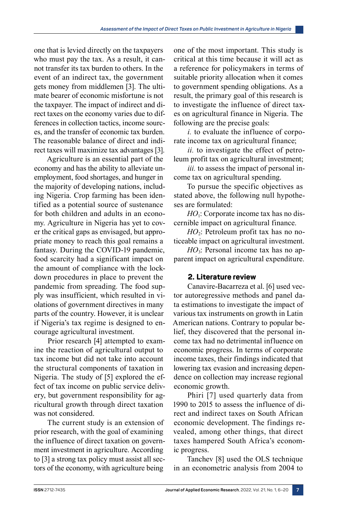one that is levied directly on the taxpayers who must pay the tax. As a result, it cannot transfer its tax burden to others. In the event of an indirect tax, the government gets money from middlemen [3]. The ultimate bearer of economic misfortune is not the taxpayer. The impact of indirect and direct taxes on the economy varies due to differences in collection tactics, income sources, and the transfer of economic tax burden. The reasonable balance of direct and indirect taxes will maximize tax advantages [3].

Agriculture is an essential part of the economy and has the ability to alleviate unemployment, food shortages, and hunger in the majority of developing nations, including Nigeria. Crop farming has been identified as a potential source of sustenance for both children and adults in an economy. Agriculture in Nigeria has yet to cover the critical gaps as envisaged, but appropriate money to reach this goal remains a fantasy. During the COVID-19 pandemic, food scarcity had a significant impact on the amount of compliance with the lockdown procedures in place to prevent the pandemic from spreading. The food supply was insufficient, which resulted in violations of government directives in many parts of the country. However, it is unclear if Nigeria's tax regime is designed to encourage agricultural investment.

Prior research [4] attempted to examine the reaction of agricultural output to tax income but did not take into account the structural components of taxation in Nigeria. The study of [5] explored the effect of tax income on public service delivery, but government responsibility for agricultural growth through direct taxation was not considered.

The current study is an extension of prior research, with the goal of examining the influence of direct taxation on government investment in agriculture. According to [3] a strong tax policy must assist all sectors of the economy, with agriculture being

one of the most important. This study is critical at this time because it will act as a reference for policymakers in terms of suitable priority allocation when it comes to government spending obligations. As a result, the primary goal of this research is to investigate the influence of direct taxes on agricultural finance in Nigeria. The following are the precise goals:

*i.* to evaluate the influence of corporate income tax on agricultural finance;

*ii.* to investigate the effect of petroleum profit tax on agricultural investment;

*iii.* to assess the impact of personal income tax on agricultural spending.

To pursue the specific objectives as stated above, the following null hypotheses are formulated:

*HO*<sup>1</sup>: Corporate income tax has no discernible impact on agricultural finance.

*HO*<sub>2</sub>: Petroleum profit tax has no noticeable impact on agricultural investment.

*HO*<sub>3</sub>: Personal income tax has no apparent impact on agricultural expenditure.

# **2. Literature review**

Canavire-Bacarreza et al. [6] used vector autoregressive methods and panel data estimations to investigate the impact of various tax instruments on growth in Latin American nations. Contrary to popular belief, they discovered that the personal income tax had no detrimental influence on economic progress. In terms of corporate income taxes, their findings indicated that lowering tax evasion and increasing dependence on collection may increase regional economic growth.

Phiri [7] used quarterly data from 1990 to 2015 to assess the influence of direct and indirect taxes on South African economic development. The findings revealed, among other things, that direct taxes hampered South Africa's economic progress.

Tanchev [8] used the OLS technique in an econometric analysis from 2004 to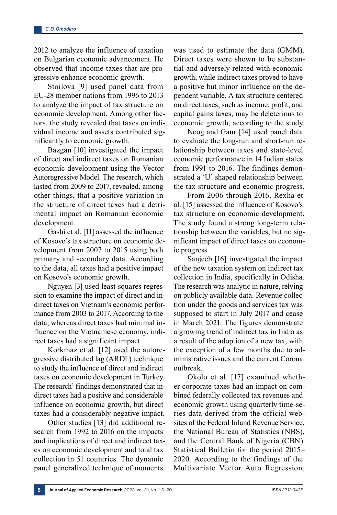2012 to analyze the influence of taxation on Bulgarian economic advancement. He observed that income taxes that are progressive enhance economic growth.

Stoilova [9] used panel data from EU‑28 member nations from 1996 to 2013 to analyze the impact of tax structure on economic development. Among other factors, the study revealed that taxes on individual income and assets contributed significantly to economic growth.

Bazgan [10] investigated the impact of direct and indirect taxes on Romanian economic development using the Vector Autoregressive Model. The research, which lasted from 2009 to 2017, revealed, among other things, that a positive variation in the structure of direct taxes had a detrimental impact on Romanian economic development.

Gashi et al. [11] assessed the influence of Kosovo's tax structure on economic development from 2007 to 2015 using both primary and secondary data. According to the data, all taxes had a positive impact on Kosovo's economic growth.

Nguyen [3] used least-squares regression to examine the impact of direct and indirect taxes on Vietnam's economic performance from 2003 to 2017. According to the data, whereas direct taxes had minimal influence on the Vietnamese economy, indirect taxes had a significant impact.

Korkmaz et al. [12] used the autoregressive distributed lag (ARDL) technique to study the influence of direct and indirect taxes on economic development in Turkey. The research' findings demonstrated that indirect taxes had a positive and considerable influence on economic growth, but direct taxes had a considerably negative impact.

Other studies [13] did additional research from 1992 to 2016 on the impacts and implications of direct and indirect taxes on economic development and total tax collection in 51 countries. The dynamic panel generalized technique of moments

was used to estimate the data (GMM). Direct taxes were shown to be substantial and adversely related with economic growth, while indirect taxes proved to have a positive but minor influence on the dependent variable. A tax structure centered on direct taxes, such as income, profit, and capital gains taxes, may be deleterious to economic growth, according to the study.

Neog and Gaur [14] used panel data to evaluate the long-run and short-run relationship between taxes and state-level economic performance in 14 Indian states from 1991 to 2016. The findings demonstrated a 'U' shaped relationship between the tax structure and economic progress.

From 2006 through 2016, Rexha et al. [15] assessed the influence of Kosovo's tax structure on economic development. The study found a strong long-term relationship between the variables, but no significant impact of direct taxes on economic progress.

Sanjeeb [16] investigated the impact of the new taxation system on indirect tax collection in India, specifically in Odisha. The research was analytic in nature, relying on publicly available data. Revenue collection under the goods and services tax was supposed to start in July 2017 and cease in March 2021. The figures demonstrate a growing trend of indirect tax in India as a result of the adoption of a new tax, with the exception of a few months due to administrative issues and the current Corona outbreak.

Okolo et al. [17] examined whether corporate taxes had an impact on combined federally collected tax revenues and economic growth using quarterly time-series data derived from the official websites of the Federal Inland Revenue Service, the National Bureau of Statistics (NBS), and the Central Bank of Nigeria (CBN) Statistical Bulletin for the period 2015– 2020. According to the findings of the Multivariate Vector Auto Regression,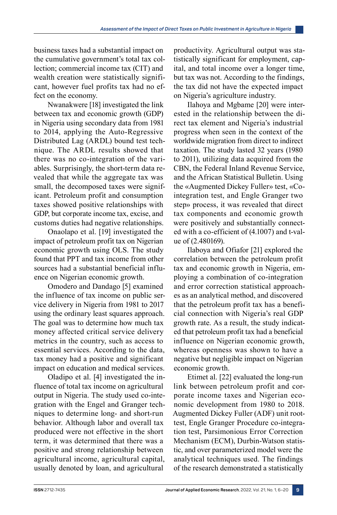business taxes had a substantial impact on the cumulative government's total tax collection; commercial income tax (CIT) and wealth creation were statistically significant, however fuel profits tax had no effect on the economy.

Nwanakwere [18] investigated the link between tax and economic growth (GDP) in Nigeria using secondary data from 1981 to 2014, applying the Auto-Regressive Distributed Lag (ARDL) bound test technique. The ARDL results showed that there was no co-integration of the variables. Surprisingly, the short-term data revealed that while the aggregate tax was small, the decomposed taxes were significant. Petroleum profit and consumption taxes showed positive relationships with GDP, but corporate income tax, excise, and customs duties had negative relationships.

Onaolapo et al. [19] investigated the impact of petroleum profit tax on Nigerian economic growth using OLS. The study found that PPT and tax income from other sources had a substantial beneficial influence on Nigerian economic growth.

Omodero and Dandago [5] examined the influence of tax income on public service delivery in Nigeria from 1981 to 2017 using the ordinary least squares approach. The goal was to determine how much tax money affected critical service delivery metrics in the country, such as access to essential services. According to the data, tax money had a positive and significant impact on education and medical services.

Oladipo et al. [4] investigated the influence of total tax income on agricultural output in Nigeria. The study used co-integration with the Engel and Granger techniques to determine long- and short-run behavior. Although labor and overall tax produced were not effective in the short term, it was determined that there was a positive and strong relationship between agricultural income, agricultural capital, usually denoted by loan, and agricultural

productivity. Agricultural output was statistically significant for employment, capital, and total income over a longer time, but tax was not. According to the findings, the tax did not have the expected impact on Nigeria's agriculture industry.

Ilahoya and Mgbame [20] were interested in the relationship between the direct tax element and Nigeria's industrial progress when seen in the context of the worldwide migration from direct to indirect taxation. The study lasted 32 years (1980 to 2011), utilizing data acquired from the CBN, the Federal Inland Revenue Service, and the African Statistical Bulletin. Using the «Augmented Dickey Fuller» test, «Cointegration test, and Engle Granger two step» process, it was revealed that direct tax components and economic growth were positively and substantially connected with a co-efficient of (4.1007) and t-value of (2.480169).

Ilaboya and Ofiafor [21] explored the correlation between the petroleum profit tax and economic growth in Nigeria, employing a combination of co-integration and error correction statistical approaches as an analytical method, and discovered that the petroleum profit tax has a beneficial connection with Nigeria's real GDP growth rate. As a result, the study indicated that petroleum profit tax had a beneficial influence on Nigerian economic growth, whereas openness was shown to have a negative but negligible impact on Nigerian economic growth.

Etimet al. [22] evaluated the long-run link between petroleum profit and corporate income taxes and Nigerian economic development from 1980 to 2018. Augmented Dickey Fuller (ADF) unit roottest, Engle Granger Procedure co-integration test, Parsimonious Error Correction Mechanism (ECM), Durbin-Watson statistic, and over parameterized model were the analytical techniques used. The findings of the research demonstrated a statistically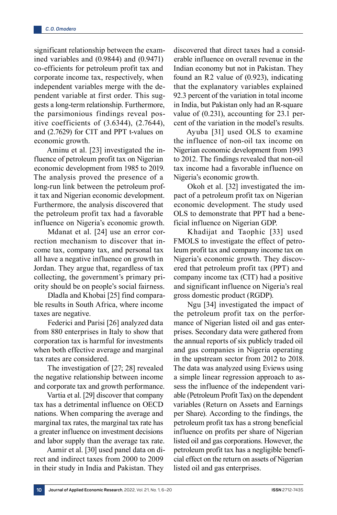significant relationship between the examined variables and (0.9844) and (0.9471) co-efficients for petroleum profit tax and corporate income tax, respectively, when independent variables merge with the dependent variable at first order. This suggests a long-term relationship. Furthermore, the parsimonious findings reveal positive coefficients of (3.6344), (2.7644), and (2.7629) for CIT and PPT t-values on economic growth.

Aminu et al. [23] investigated the influence of petroleum profit tax on Nigerian economic development from 1985 to 2019. The analysis proved the presence of a long-run link between the petroleum profit tax and Nigerian economic development. Furthermore, the analysis discovered that the petroleum profit tax had a favorable influence on Nigeria's economic growth.

Mdanat et al. [24] use an error correction mechanism to discover that income tax, company tax, and personal tax all have a negative influence on growth in Jordan. They argue that, regardless of tax collecting, the government's primary priority should be on people's social fairness.

Dladla and Khobai [25] find comparable results in South Africa, where income taxes are negative.

Federici and Parisi [26] analyzed data from 880 enterprises in Italy to show that corporation tax is harmful for investments when both effective average and marginal tax rates are considered.

The investigation of [27; 28] revealed the negative relationship between income and corporate tax and growth performance.

Vartia et al. [29] discover that company tax has a detrimental influence on OECD nations. When comparing the average and marginal tax rates, the marginal tax rate has a greater influence on investment decisions and labor supply than the average tax rate.

Aamir et al. [30] used panel data on direct and indirect taxes from 2000 to 2009 in their study in India and Pakistan. They

discovered that direct taxes had a considerable influence on overall revenue in the Indian economy but not in Pakistan. They found an R2 value of (0.923), indicating that the explanatory variables explained 92.3 percent of the variation in total income in India, but Pakistan only had an R-square value of (0.231), accounting for 23.1 percent of the variation in the model's results.

Ayuba [31] used OLS to examine the influence of non-oil tax income on Nigerian economic development from 1993 to 2012. The findings revealed that non-oil tax income had a favorable influence on Nigeria's economic growth.

Okoh et al. [32] investigated the impact of a petroleum profit tax on Nigerian economic development. The study used OLS to demonstrate that PPT had a beneficial influence on Nigerian GDP.

Khadijat and Taophic [33] used FMOLS to investigate the effect of petroleum profit tax and company income tax on Nigeria's economic growth. They discovered that petroleum profit tax (PPT) and company income tax (CIT) had a positive and significant influence on Nigeria's real gross domestic product (RGDP).

Ngu [34] investigated the impact of the petroleum profit tax on the performance of Nigerian listed oil and gas enterprises. Secondary data were gathered from the annual reports of six publicly traded oil and gas companies in Nigeria operating in the upstream sector from 2012 to 2018. The data was analyzed using Eviews using a simple linear regression approach to assess the influence of the independent variable (Petroleum Profit Tax) on the dependent variables (Return on Assets and Earnings per Share). According to the findings, the petroleum profit tax has a strong beneficial influence on profits per share of Nigerian listed oil and gas corporations. However, the petroleum profit tax has a negligible beneficial effect on the return on assets of Nigerian listed oil and gas enterprises.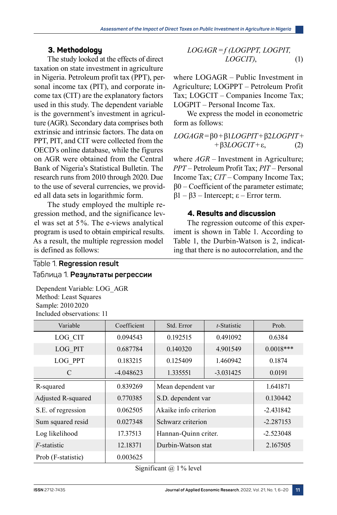# **3. Methodology**

The study looked at the effects of direct taxation on state investment in agriculture in Nigeria. Petroleum profit tax (PPT), personal income tax (PIT), and corporate income tax (CIT) are the explanatory factors used in this study. The dependent variable is the government's investment in agriculture (AGR). Secondary data comprises both extrinsic and intrinsic factors. The data on PPT, PIT, and CIT were collected from the OECD's online database, while the figures on AGR were obtained from the Central Bank of Nigeria's Statistical Bulletin. The research runs from 2010 through 2020. Due to the use of several currencies, we provided all data sets in logarithmic form.

The study employed the multiple regression method, and the significance level was set at 5%. The e-views analytical program is used to obtain empirical results. As a result, the multiple regression model is defined as follows:

$$
LOGAGR = f (LOGPPT, LOGPIT, LOGPIT, LOGCIT),
$$
\n(1)

where  $LOGAGR$  – Public Investment in Agriculture; LOGPPT – Petroleum Profit Tax; LOGCIT – Companies Income Tax; LOGPIT – Personal Income Tax.

We express the model in econometric form as follows:

$$
LOGAGR = \beta 0 + \beta 1 LOGPIT + \beta 2LOGPIT + + \beta 3LOGCIT + \varepsilon, \qquad (2)
$$

where  $AGR$  – Investment in Agriculture; *PPT* – Petroleum Profit Tax; *PIT* – Personal Income Tax; *CIT* – Company Income Tax;  $\beta$ 0 – Coefficient of the parameter estimate;  $β1 – β3 – Intercept; ε – Error term.$ 

# **4. Results and discussion**

The regression outcome of this experiment is shown in Table 1. According to Table 1, the Durbin-Watson is 2, indicating that there is no autocorrelation, and the

# Table 1. **Regression result** Таблица 1. **Результаты регрессии**

Dependent Variable: LOG\_AGR Method: Least Squares Sample: 2010 2020 Included observations: 11

| Variable            | Coefficient | Std. Error            | t-Statistic | Prob.       |
|---------------------|-------------|-----------------------|-------------|-------------|
| LOG CIT             | 0.094543    | 0.192515              | 0.491092    | 0.6384      |
| LOG PIT             | 0.687784    | 0.140320              | 4.901549    | $0.0018***$ |
| LOG PPT             | 0.183215    | 0.125409              | 1.460942    | 0.1874      |
| C                   | $-4.048623$ | 1.335551              | $-3.031425$ | 0.0191      |
| R-squared           | 0.839269    | Mean dependent var    |             | 1.641871    |
| Adjusted R-squared  | 0.770385    | S.D. dependent var    |             | 0.130442    |
| S.E. of regression  | 0.062505    | Akaike info criterion |             | $-2.431842$ |
| Sum squared resid   | 0.027348    | Schwarz criterion     |             | $-2.287153$ |
| Log likelihood      | 17.37513    | Hannan-Quinn criter.  |             | $-2.523048$ |
| <i>F</i> -statistic | 12.18371    | Durbin-Watson stat    |             | 2.167505    |
| Prob (F-statistic)  | 0.003625    |                       |             |             |

Significant  $(a)$  1% level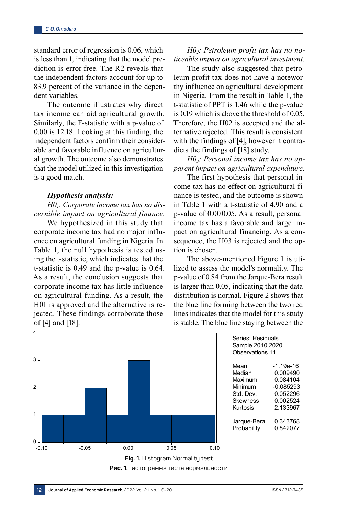standard error of regression is 0.06, which is less than 1, indicating that the model prediction is error-free. The R2 reveals that the independent factors account for up to 83.9 percent of the variance in the dependent variables.

The outcome illustrates why direct tax income can aid agricultural growth. Similarly, the F-statistic with a p-value of 0.00 is 12.18. Looking at this finding, the independent factors confirm their considerable and favorable influence on agricultural growth. The outcome also demonstrates that the model utilized in this investigation is a good match.

#### *Hypothesis analysis:*

*H01: Corporate income tax has no discernible impact on agricultural finance.*

We hypothesized in this study that corporate income tax had no major influence on agricultural funding in Nigeria. In Table 1, the null hypothesis is tested using the t-statistic, which indicates that the t-statistic is 0.49 and the p-value is 0.64. As a result, the conclusion suggests that corporate income tax has little influence on agricultural funding. As a result, the H01 is approved and the alternative is rejected. These findings corroborate those of [4] and [18].

# *H02: Petroleum profit tax has no noticeable impact on agricultural investment.*

The study also suggested that petroleum profit tax does not have a noteworthy influence on agricultural development in Nigeria. From the result in Table 1, the t-statistic of PPT is 1.46 while the p-value is 0.19 which is above the threshold of 0.05. Therefore, the H02 is accepted and the alternative rejected. This result is consistent with the findings of [4], however it contradicts the findings of [18] study.

*H03: Personal income tax has no apparent impact on agricultural expenditure.*

The first hypothesis that personal income tax has no effect on agricultural finance is tested, and the outcome is shown in Table 1 with a t-statistic of 4.90 and a p-value of 0.000.05. As a result, personal income tax has a favorable and large impact on agricultural financing. As a consequence, the H03 is rejected and the option is chosen.

The above-mentioned Figure 1 is utilized to assess the model's normality. The p-value of 0.84 from the Jarque-Bera result is larger than 0.05, indicating that the data distribution is normal. Figure 2 shows that the blue line forming between the two red lines indicates that the model for this study is stable. The blue line staying between the



| Series: Residuals<br>Sample 2010 2020<br>Observations 11 |             |  |  |  |
|----------------------------------------------------------|-------------|--|--|--|
| Mean                                                     | -1.19e-16   |  |  |  |
| Median                                                   | 0.009490    |  |  |  |
| Maximum                                                  | 0.084104    |  |  |  |
| Minimum                                                  | $-0.085293$ |  |  |  |
| Std. Dev.                                                | 0.052296    |  |  |  |
| Skewness                                                 | 0.002524    |  |  |  |
| Kurtosis                                                 | 2.133967    |  |  |  |
| Jarque-Bera                                              | 0.343768    |  |  |  |
| Probability                                              | 0.842077    |  |  |  |

**Рис. 1.** Гистограмма теста нормальности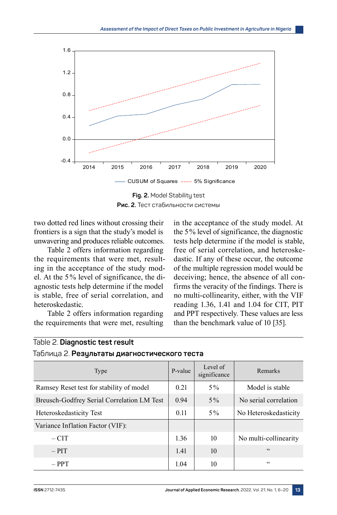

**Fig. 2.** Model Stability test **Рис. 2.** Тест стабильности системы

two dotted red lines without crossing their frontiers is a sign that the study's model is unwavering and produces reliable outcomes.

Table 2 offers information regarding the requirements that were met, resulting in the acceptance of the study model. At the 5% level of significance, the diagnostic tests help determine if the model is stable, free of serial correlation, and heteroskedastic.

Table 2 offers information regarding the requirements that were met, resulting

Таблица 2. **Результаты диагностического теста**

in the acceptance of the study model. At the 5% level of significance, the diagnostic tests help determine if the model is stable, free of serial correlation, and heteroskedastic. If any of these occur, the outcome of the multiple regression model would be deceiving; hence, the absence of all confirms the veracity of the findings. There is no multi-collinearity, either, with the VIF reading 1.36, 1.41 and 1.04 for CIT, PIT and PPT respectively. These values are less than the benchmark value of 10 [35].

| Type                                       | P-value | Level of<br>significance | Remarks               |
|--------------------------------------------|---------|--------------------------|-----------------------|
| Ramsey Reset test for stability of model   | 0.21    | $5\%$                    | Model is stable       |
| Breusch-Godfrey Serial Correlation LM Test | 0.94    | $5\%$                    | No serial correlation |
| Heteroskedasticity Test                    | 0.11    | $5\%$                    | No Heteroskedasticity |
| Variance Inflation Factor (VIF):           |         |                          |                       |
| $-CIT$                                     | 1.36    | 10                       | No multi-collinearity |
| $-$ PIT                                    | 1.41    | 10                       | $\zeta \zeta$         |
| $-$ PPT                                    | 1.04    | 10                       | 66                    |

Table 2. **Diagnostic test result**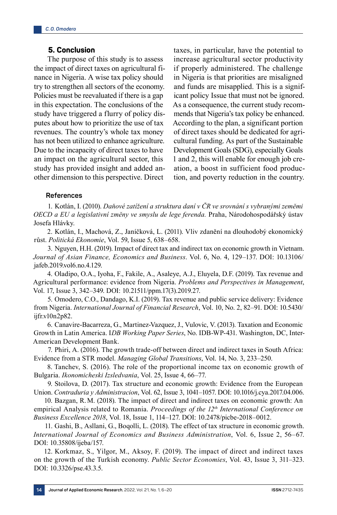# **5. Conclusion**

The purpose of this study is to assess the impact of direct taxes on agricultural finance in Nigeria. A wise tax policy should try to strengthen all sectors of the economy. Policies must be reevaluated if there is a gap in this expectation. The conclusions of the study have triggered a flurry of policy disputes about how to prioritize the use of tax revenues. The country's whole tax money has not been utilized to enhance agriculture. Due to the incapacity of direct taxes to have an impact on the agricultural sector, this study has provided insight and added another dimension to this perspective. Direct

taxes, in particular, have the potential to increase agricultural sector productivity if properly administered. The challenge in Nigeria is that priorities are misaligned and funds are misapplied. This is a significant policy Issue that must not be ignored. As a consequence, the current study recommends that Nigeria's tax policy be enhanced. According to the plan, a significant portion of direct taxes should be dedicated for agricultural funding. As part of the Sustainable Development Goals (SDG), especially Goals 1 and 2, this will enable for enough job creation, a boost in sufficient food production, and poverty reduction in the country.

### **References**

1. Kotlán, I. (2010). *Daňové zatížení a struktura daní v ČR ve srovnání s vybranými zeměmi OECD a EU a legislativní změny ve smyslu de lege ferenda.* Praha, Národohospodářský ústav Josefa Hlávky.

2. Kotlán, I., Machová, Z., Janíčková, L. (2011). Vliv zdanění na dlouhodobý ekonomický růst. *Politická Ekonomie*, Vol. 59, Issue 5, 638–658.

3. Nguyen, H.H. (2019). Impact of direct tax and indirect tax on economic growth in Vietnam. *Journal of Asian Finance, Economics and Business*. Vol. 6, No. 4, 129–137. DOI: 10.13106/ jafeb.2019.vol6.no.4.129.

4. Oladipo, O.A., Iyoha, F., Fakile, A., Asaleye, A.J., Eluyela, D.F. (2019). Tax revenue and Agricultural performance: evidence from Nigeria. *Problems and Perspectives in Management*, Vol. 17, Issue 3, 342–349. DOI: 10.21511/ppm.17(3).2019.27.

5. Omodero, C.O., Dandago, K.I. (2019). Tax revenue and public service delivery: Evidence from Nigeria. *International Journal of Financial Research*, Vol. 10, No. 2, 82–91. DOI: 10.5430/ ijfr.v10n2p82.

6. Canavire-Bacarreza, G., Martinez-Vazquez, J., Vulovic, V. (2013). Taxation and Economic Growth in Latin America. I*DB Working Paper Series*, No. IDB-WP‑431. Washington, DC, Inter-American Development Bank.

7. Phiri, A. (2016). The growth trade-off between direct and indirect taxes in South Africa: Evidence from a STR model. *Managing Global Transitions*, Vol. 14, No. 3, 233–250.

8. Tanchev, S. (2016). The role of the proportional income tax on economic growth of Bulgaria. *Ikonomicheski Izsledvania*, Vol. 25, Issue 4, 66–77.

9. Stoilova, D. (2017). Tax structure and economic growth: Evidence from the European Union. *Contraduria y Administracion*, Vol. 62, Issue 3, 1041–1057. DOI: 10.1016/j.cya.2017.04.006.

10. Bazgan, R.M. (2018). The impact of direct and indirect taxes on economic growth: An empirical Analysis related to Romania. *Proceedings of the 12th International Conference on Business Excellence 2018*, Vol. 18, Issue 1, 114–127. DOI: 10.2478/picbe‑2018–0012.

11. Gashi, B., Asllani, G., Boqolli, L. (2018). The effect of tax structure in economic growth. *International Journal of Economics and Business Administration*, Vol. 6, Issue 2, 56–67. DOI: 10.35808/ijeba/157.

12. Korkmaz, S., Yilgor, M., Aksoy, F. (2019). The impact of direct and indirect taxes on the growth of the Turkish economy. *Public Sector Economies*, Vol. 43, Issue 3, 311–323. DOI: 10.3326/pse.43.3.5.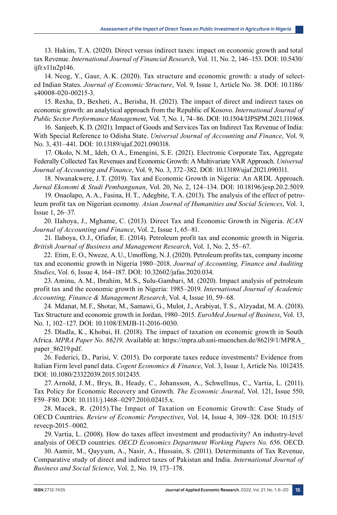13. Hakim, T.A. (2020). Direct versus indirect taxes: impact on economic growth and total tax Revenue. *International Journal of Financial Research*, Vol. 11, No. 2, 146–153. DOI: 10.5430/ ijfr.v11n2p146.

14. Neog, Y., Gaur, A. K. (2020). Tax structure and economic growth: a study of selected Indian States. *Journal of Economic Structure*, Vol. 9, Issue 1, Article No. 38. DOI: 10.1186/ s40008-020-00215-3.

15. Rexha, D., Bexheti, A., Berisha, H. (2021). The impact of direct and indirect taxes on economic growth: an analytical approach from the Republic of Kosovo. *International Journal of Public Sector Performance Management*, Vol. 7, No. 1, 74–86. DOI: 10.1504/IJPSPM.2021.111968.

16. Sanjeeb, K.D. (2021). Impact of Goods and Services Tax on Indirect Tax Revenue of India: With Special Reference to Odisha State. *Universal Journal of Accounting and Finance*, Vol. 9, No. 3, 431–441. DOI: 10.13189/ujaf.2021.090318.

17. Okolo, N.M., Ideh, O.A., Emengini, S.E. (2021). Electronic Corporate Tax, Aggregate Federally Collected Tax Revenues and Economic Growth: A Multivariate VAR Approach. *Universal Journal of Accounting and Finance*, Vol. 9, No. 3, 372–382. DOI: 10.13189/ujaf.2021.090311.

18. Nwanakwere, J.T. (2019). Tax and Economic Growth in Nigeria: An ARDL Approach. *Jurnal Ekonomi & Studi Pembangunan*, Vol. 20, No. 2, 124–134. DOI: 10.18196/jesp.20.2.5019.

19. Onaolapo, A.A., Fasina, H.T., Adegbite, T.A. (2013). The analysis of the effect of petroleum profit tax on Nigerian economy. *Asian Journal of Humanities and Social Sciences*, Vol. 1, Issue 1, 26–37.

20. IIahoya, J., Mghame, C. (2013). Direct Tax and Economic Growth in Nigeria. *ICAN Journal of Accounting and Finance*, Vol. 2, Issue 1, 65–81.

21. Ilaboya, O.J., Ofiafor, E. (2014). Petroleum profit tax and economic growth in Nigeria. *British Journal of Business and Management Research*, Vol. 1, No. 2, 55–67.

22. Etim, E.O., Nweze, A.U., Umoffong, N.J. (2020). Petroleum profits tax, company income tax and economic growth in Nigeria 1980–2018. *Journal of Accounting, Finance and Auditing Studies*, Vol. 6, Issue 4, 164–187. DOI: 10.32602/jafas.2020.034.

23. Aminu, A.M., Ibrahim, M.S., Sulu-Gambari, M. (2020). Impact analysis of petroleum profit tax and the economic growth in Nigeria: 1985–2019. *International Journal of Academic Accounting, Finance & Management Research*, Vol. 4, Issue 10, 59–68.

24. Mdanat, M.F., Shotar, M., Samawi, G., Mulot, J., Arabiyat, T.S., Alzyadat, M.A. (2018). Tax Structure and economic growth in Jordan, 1980–2015. *EuroMed Journal of Business*, Vol. 13, No. 1, 102-127. DOI: 10.1108/EMJB-11-2016-0030.

25. Dladla, K., Khobai, H. (2018). The impact of taxation on economic growth in South Africa. *MPRA Paper No. 86219*. Available at: https://mpra.ub.uni-muenchen.de/86219/1/MPRA\_ paper 86219.pdf.

26. Federici, D., Parisi, V. (2015). Do corporate taxes reduce investments? Evidence from Italian Firm level panel data. *Cogent Economics & Finance*, Vol. 3, Issue 1, Article No. 1012435. DOI: 10.1080/23322039.2015.1012435.

27. Arnold, J. M., Brys, B., Heady, C., Johansson, A., Schwellnus, C., Vartia, L. (2011). Tax Policy for Economic Recovery and Growth. *The Economic Journal*, Vol. 121, Issue 550, F59–F80. DOI: 10.1111/j.1468–0297.2010.02415.x.

28. Macek, R. (2015).The Impact of Taxation on Economic Growth: Case Study of OECD Countries. *Review of Economic Perspectives*, Vol. 14, Issue 4, 309–328. DOI: 10.1515/ revecp‑2015–0002.

29. Vartia, L. (2008). How do taxes affect investment and productivity? An industry-level analysis of OECD countries. *OECD Economics Department Working Papers No. 656*. OECD.

30. Aamir, M., Qayyum, A., Nasir, A., Hussain, S. (2011). Determinants of Tax Revenue, Comparative study of direct and indirect taxes of Pakistan and India. *International Journal of Business and Social Science*, Vol. 2, No. 19, 173–178.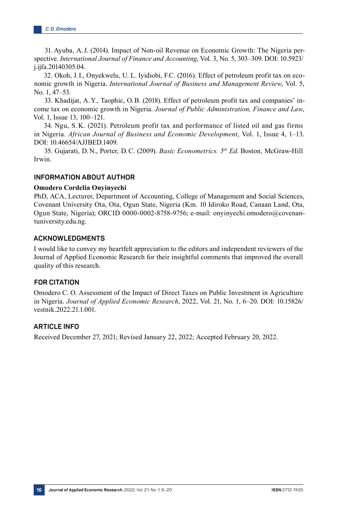31. Ayuba, A.J. (2014). Impact of Non-oil Revenue on Economic Growth: The Nigeria perspective. *International Journal of Finance and Accounting*, Vol. 3, No. 5, 303–309. DOI: 10.5923/ j.ijfa.20140305.04.

32. Okoh, J.I., Onyekwelu, U. L. Iyidiobi, F.C. (2016). Effect of petroleum profit tax on economic growth in Nigeria. *International Journal of Business and Management Review*, Vol. 5, No. 1, 47–53.

33. Khadijat, A.Y., Taophic, O.B. (2018). Effect of petroleum profit tax and companies' income tax on economic growth in Nigeria. *Journal of Public Administration, Finance and Law*, Vol. 1, Issue 13, 100–121.

34. Ngu, S. K. (2021). Petroleum profit tax and performance of listed oil and gas firms in Nigeria. *African Journal of Business and Economic Development*, Vol. 1, Issue 4, 1–13. DOI: 10.46654/AJJBED.1409.

35. Gujarati, D.N., Porter, D.C. (2009). *Basic Econometrics. 5th Ed*. Boston, McGraw-Hill Irwin.

### **INFORMATION ABOUT AUTHOR**

#### **Omodero Cordelia Onyinyechi**

PhD, ACA, Lecturer, Department of Accounting, College of Management and Social Sciences, Covenant University Ota, Ota, Ogun State, Nigeria (Km. 10 Idiroko Road, Canaan Land, Ota, Ogun State, Nigeria); ORCID 0000‑0002‑8758‑9756; e-mail: onyinyechi.omodero@covenantuniversity.edu.ng.

#### **ACKNOWLEDGMENTS**

I would like to convey my heartfelt appreciation to the editors and independent reviewers of the Journal of Applied Economic Research for their insightful comments that improved the overall quality of this research.

#### **FOR CITATION**

Omodero C. O. Assessment of the Impact of Direct Taxes on Public Investment in Agriculture in Nigeria. *Journal of Applied Economic Research*, 2022, Vol. 21, No. 1, 6–20. DOI: 10.15826/ vestnik.2022.21.1.001.

# **ARTICLE INFO**

Received December 27, 2021; Revised January 22, 2022; Accepted February 20, 2022.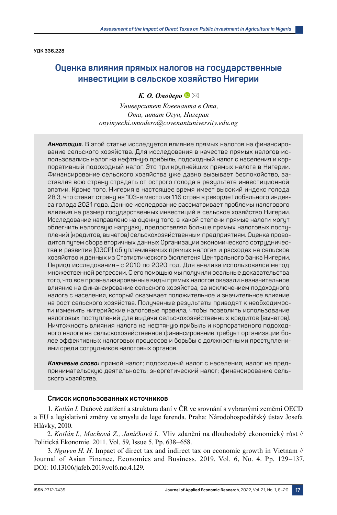**УДК 336.228**

# **Оценка влияния прямых налогов на государственные инвестиции в сельское хозяйство Нигерии**

### *К. О. Омодеро*

*Университет Ковенанта в Ота, Ота, штат Огун, Нигерия onyinyechi.omodero@covenantuniversity.edu.ng*

*Аннотация.* В этой статье исследуется влияние прямых налогов на финансирование сельского хозяйства. Для исследования в качестве прямых налогов использовались налог на нефтяную прибыль, подоходный налог с населения и корпоративный подоходный налог. Это три крупнейших прямых налога в Нигерии. Финансирование сельского хозяйства уже давно вызывает беспокойство, заставляя всю страну страдать от острого голода в результате инвестиционной апатии. Кроме того, Нигерия в настоящее время имеет высокий индекс голода 28,3, что ставит страну на 103-е место из 116 стран в рекорде Глобального индекса голода 2021 года. Данное исследование рассматривает проблемы налогового влияния на размер государственных инвестиций в сельское хозяйство Нигерии. Исследование направлено на оценку того, в какой степени прямые налоги могут облегчить налоговую нагрузку, предоставляя больше прямых налоговых поступлений (кредитов, вычетов) сельскохозяйственным предприятиям. Оценка проводится путем сбора вторичных данных Организации экономического сотрудничества и развития (ОЭСР) об уплачиваемых прямых налогах и расходах на сельское хозяйство и данных из Статистического бюллетеня Центрального банка Нигерии. Период исследования– с 2010 по 2020 год. Для анализа использовался метод множественной регрессии. С его помощью мы получили реальные доказательства того, что все проанализированные виды прямых налогов оказали незначительное влияние на финансирование сельского хозяйства, за исключением подоходного налога с населения, который оказывает положительное и значительное влияние на рост сельского хозяйства. Полученные результаты приводят к необходимости изменить нигерийские налоговые правила, чтобы позволить использование налоговых поступлений для выдачи сельскохозяйственных кредитов (вычетов). Ничтожность влияния налога на нефтяную прибыль и корпоративного подоходного налога на сельскохозяйственное финансирование требует организации более эффективных налоговых процессов и борьбы с должностными преступлениями среди сотрудников налоговых органов.

*Ключевые слова:* прямой налог; подоходный налог с населения; налог на предпринимательскую деятельность; энергетический налог; финансирование сельского хозяйства.

#### **Список использованных источников**

1. *Kotlán I.* Daňové zatížení a struktura daní v ČR ve srovnání s vybranými zeměmi OECD a EU a legislativní změny ve smyslu de lege ferenda. Praha: Národohospodářský ústav Josefa Hlávky, 2010.

2. *Kotlán I., Machová Z., Janíčková L.* Vliv zdanění na dlouhodobý ekonomický růst // Politická Ekonomie. 2011. Vol. 59, Issue 5. Рр. 638–658.

3. *Nguyen H. H.* Impact of direct tax and indirect tax on economic growth in Vietnam // Journal of Asian Finance, Economics and Business. 2019. Vol. 6, No. 4. Рр. 129–137. DOI: 10.13106/jafeb.2019.vol6.no.4.129.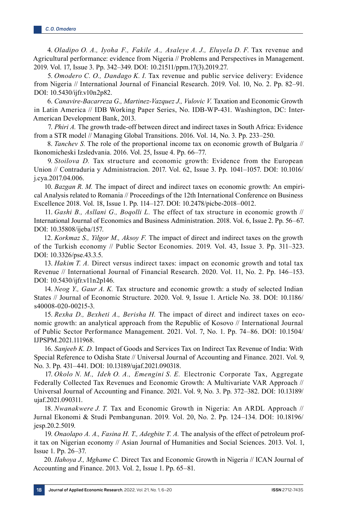4. *Oladipo O. A., Iyoha F., Fakile A., Asaleye A. J., Eluyela D. F.* Tax revenue and Agricultural performance: evidence from Nigeria // Problems and Perspectives in Management. 2019. Vol. 17, Issue 3. Рр. 342–349. DOI: 10.21511/ppm.17(3).2019.27.

5. *Omodero C. O., Dandago K. I.* Tax revenue and public service delivery: Evidence from Nigeria // International Journal of Financial Research. 2019. Vol. 10, No. 2. Рр. 82–91. DOI: 10.5430/ijfr.v10n2p82.

6. *Canavire-Bacarreza G., Martinez-Vazquez J., Vulovic V.* Taxation and Economic Growth in Latin America // IDB Working Paper Series, No. IDB-WP-431. Washington, DC: Inter-American Development Bank, 2013.

7. *Phiri A.* The growth trade-off between direct and indirect taxes in South Africa: Evidence from a STR model // Managing Global Transitions. 2016. Vol. 14, No. 3. Pp. 233-250.

8. *Tanchev S.* The role of the proportional income tax on economic growth of Bulgaria // Ikonomicheski Izsledvania. 2016. Vol. 25, Issue 4. Рр. 66–77.

9. *Stoilova D.* Tax structure and economic growth: Evidence from the European Union // Contraduria y Administracion. 2017. Vol. 62, Issue 3. Рр. 1041–1057. DOI: 10.1016/ j.cya.2017.04.006.

10. *Bazgan R. M.* The impact of direct and indirect taxes on economic growth: An empirical Analysis related to Romania // Proceedings of the 12th International Conference on Business Excellence 2018. Vol. 18, Issue 1. Pp. 114–127. DOI: 10.2478/picbe-2018–0012.

11. *Gashi B., Asllani G., Boqolli L.* The effect of tax structure in economic growth // International Journal of Economics and Business Administration. 2018. Vol. 6, Issue 2. Рр. 56–67. DOI: 10.35808/ijeba/157.

12. *Korkmaz S., Yilgor M., Aksoy F.* The impact of direct and indirect taxes on the growth of the Turkish economy // Public Sector Economies. 2019. Vol. 43, Issue 3. Рр. 311–323. DOI: 10.3326/pse.43.3.5.

13. *Hakim T. A.* Direct versus indirect taxes: impact on economic growth and total tax Revenue // International Journal of Financial Research. 2020. Vol. 11, No. 2. Рр. 146–153. DOI: 10.5430/ijfr.v11n2p146.

14. *Neog Y., Gaur A. K.* Tax structure and economic growth: a study of selected Indian States // Journal of Economic Structure. 2020. Vol. 9, Issue 1. Article No. 38. DOI: 10.1186/ s40008‑020‑00215‑3.

15. *Rexha D., Bexheti A., Berisha H.* The impact of direct and indirect taxes on economic growth: an analytical approach from the Republic of Kosovo // International Journal of Public Sector Performance Management. 2021. Vol. 7, No. 1. Рр. 74–86. DOI: 10.1504/ IJPSPM.2021.111968.

16. *Sanjeeb K. D.* Impact of Goods and Services Tax on Indirect Tax Revenue of India: With Special Reference to Odisha State // Universal Journal of Accounting and Finance. 2021. Vol. 9, No. 3. Рр. 431–441. DOI: 10.13189/ujaf.2021.090318.

17. *Okolo N. M., Ideh O. A., Emengini S. E.* Electronic Corporate Tax, Aggregate Federally Collected Tax Revenues and Economic Growth: A Multivariate VAR Approach // Universal Journal of Accounting and Finance. 2021. Vol. 9, No. 3. Рр. 372–382. DOI: 10.13189/ ujaf.2021.090311.

18. *Nwanakwere J. T.* Tax and Economic Growth in Nigeria: An ARDL Approach // Jurnal Ekonomi & Studi Pembangunan. 2019. Vol. 20, No. 2. Рр. 124–134. DOI: 10.18196/ jesp.20.2.5019.

19. *Onaolapo A. A., Fasina H. T., Adegbite T. A.* The analysis of the effect of petroleum profit tax on Nigerian economy // Asian Journal of Humanities and Social Sciences. 2013. Vol. 1, Issue 1. Рр. 26–37.

20. *IIahoya J., Mghame C.* Direct Tax and Economic Growth in Nigeria // ICAN Journal of Accounting and Finance. 2013. Vol. 2, Issue 1. Рр. 65–81.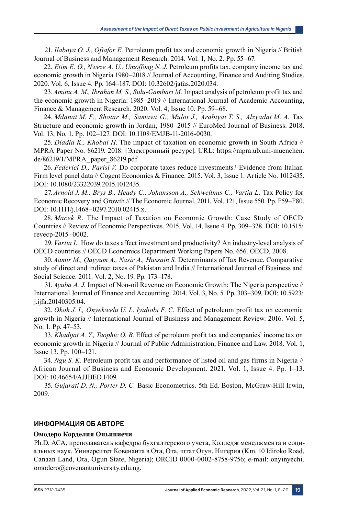21. *Ilaboya O. J., Ofiafor E.* Petroleum profit tax and economic growth in Nigeria // British Journal of Business and Management Research. 2014. Vol. 1, No. 2. Рр. 55–67.

22. *Etim E. O., Nweze A. U., Umoffong N. J.* Petroleum profits tax, company income tax and economic growth in Nigeria 1980–2018 // Journal of Accounting, Finance and Auditing Studies. 2020. Vol. 6, Issue 4. Рр. 164–187. DOI: 10.32602/jafas.2020.034.

23.*Aminu A. M., Ibrahim M. S., Sulu-Gambari M.* Impact analysis of petroleum profit tax and the economic growth in Nigeria: 1985–2019 // International Journal of Academic Accounting, Finance & Management Research. 2020. Vol. 4, Issue 10. Рр. 59–68.

24. *Mdanat M. F., Shotar M., Samawi G., Mulot J., Arabiyat T. S., Alzyadat M. A.* Tax Structure and economic growth in Jordan, 1980–2015 // EuroMed Journal of Business. 2018. Vol. 13, No. 1. Pp. 102-127. DOI: 10.1108/EMJB-11-2016-0030.

25. *Dladla K., Khobai H.* The impact of taxation on economic growth in South Africa // MPRA Paper No. 86219. 2018. [Электронный ресурс]. URL: https://mpra.ub.uni-muenchen. de/86219/1/MPRA\_paper\_86219.pdf.

26. *Federici D., Parisi V.* Do corporate taxes reduce investments? Evidence from Italian Firm level panel data // Cogent Economics & Finance. 2015. Vol. 3, Issue 1. Article No. 1012435. DOI: 10.1080/23322039.2015.1012435.

27.*Arnold J. M., Brys B., Heady C., Johansson A., Schwellnus C., Vartia L.* Tax Policy for Economic Recovery and Growth // The Economic Journal. 2011. Vol. 121, Issue 550. Рр. F59–F80. DOI: 10.1111/j.1468–0297.2010.02415.x.

28. *Macek R.* The Impact of Taxation on Economic Growth: Case Study of OECD Countries // Review of Economic Perspectives. 2015. Vol. 14, Issue 4. Рр. 309–328. DOI: 10.1515/ revecp‑2015–0002.

29. *Vartia L.* How do taxes affect investment and productivity? An industry-level analysis of OECD countries // OECD Economics Department Working Papers No. 656. OECD, 2008.

30.*Aamir M., Qayyum A., Nasir A., Hussain S.* Determinants of Tax Revenue, Comparative study of direct and indirect taxes of Pakistan and India // International Journal of Business and Social Science. 2011. Vol. 2, No. 19. Рр. 173–178.

31.*Ayuba A. J.* Impact of Non-oil Revenue on Economic Growth: The Nigeria perspective // International Journal of Finance and Accounting. 2014. Vol. 3, No. 5. Рр. 303–309. DOI: 10.5923/ j.ijfa.20140305.04.

32. *Okoh J. I., Onyekwelu U. L. Iyidiobi F. C.* Effect of petroleum profit tax on economic growth in Nigeria // International Journal of Business and Management Review. 2016. Vol. 5, No. 1. Рр. 47–53.

33. *Khadijat A. Y., Taophic O. B.* Effect of petroleum profit tax and companies' income tax on economic growth in Nigeria // Journal of Public Administration, Finance and Law. 2018. Vol. 1, Issue 13. Рр. 100–121.

34. *Ngu S. K.* Petroleum profit tax and performance of listed oil and gas firms in Nigeria // African Journal of Business and Economic Development. 2021. Vol. 1, Issue 4. Рр. 1–13. DOI: 10.46654/AJJBED.1409.

35. *Gujarati D. N., Porter D. C.* Basic Econometrics. 5th Ed. Boston, McGraw-Hill Irwin, 2009.

# **ИНФОРМАЦИЯ ОБ АВТОРЕ**

#### **Омодеро Корделия Оньиниечи**

Ph.D, ACA, преподаватель кафедры бухгалтерского учета, Колледж менеджмента и социальных наук, Университет Ковенанта в Ота, Ота, штат Огун, Нигерия (Km. 10 Idiroko Road, Canaan Land, Ota, Ogun State, Nigeria); ORCID 0000‑0002‑8758‑9756; e-mail: onyinyechi. omodero@covenantuniversity.edu.ng.